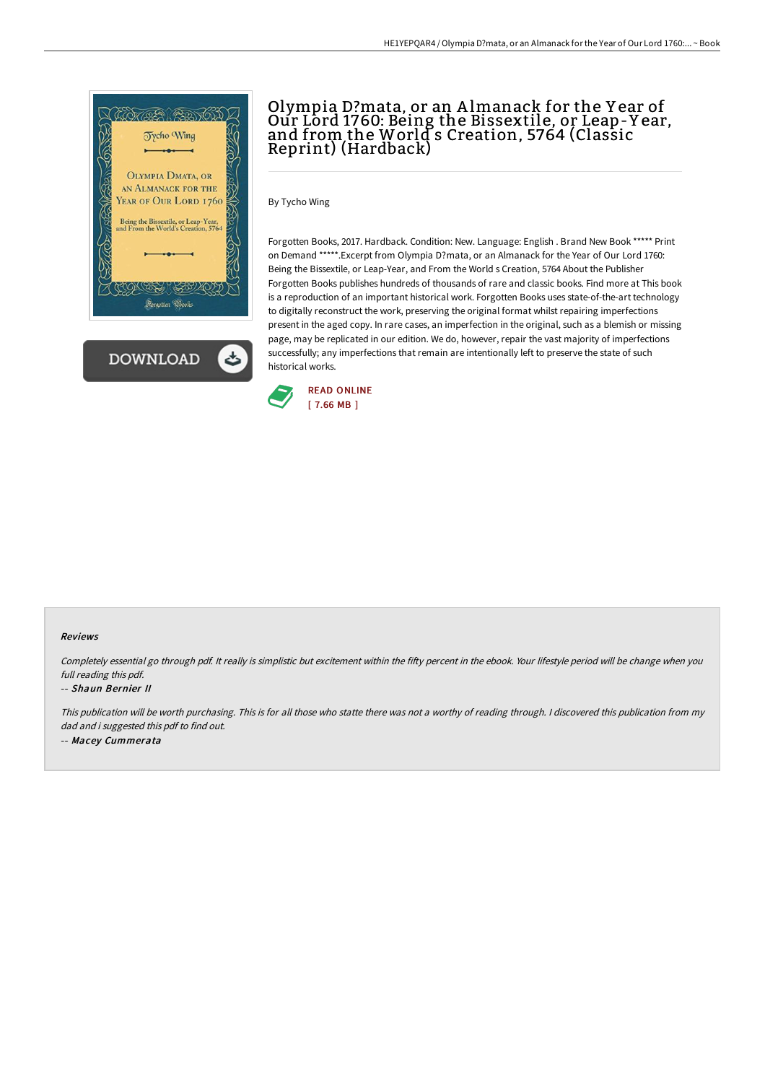



# Olympia D?mata, or an A lmanack for the Y ear of Our Lord 1760: Being the Bissextile, or Leap-Y ear, and from the World s Creation, 5764 (Classic Reprint) (Hardback)

By Tycho Wing

Forgotten Books, 2017. Hardback. Condition: New. Language: English . Brand New Book \*\*\*\*\* Print on Demand \*\*\*\*\*.Excerpt from Olympia D?mata, or an Almanack for the Year of Our Lord 1760: Being the Bissextile, or Leap-Year, and From the World s Creation, 5764 About the Publisher Forgotten Books publishes hundreds of thousands of rare and classic books. Find more at This book is a reproduction of an important historical work. Forgotten Books uses state-of-the-art technology to digitally reconstruct the work, preserving the original format whilst repairing imperfections present in the aged copy. In rare cases, an imperfection in the original, such as a blemish or missing page, may be replicated in our edition. We do, however, repair the vast majority of imperfections successfully; any imperfections that remain are intentionally left to preserve the state of such historical works.



### Reviews

Completely essential go through pdf. It really is simplistic but excitement within the fifty percent in the ebook. Your lifestyle period will be change when you full reading this pdf.

#### -- Shaun Bernier II

This publication will be worth purchasing. This is for all those who statte there was not <sup>a</sup> worthy of reading through. <sup>I</sup> discovered this publication from my dad and i suggested this pdf to find out. -- Macey Cummerata